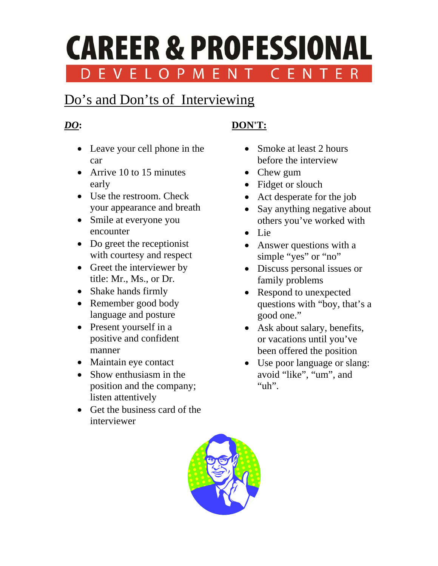#### **CAREER & PROFESSIONAL** F R EVELO M ENT

# Do's and Don'ts of Interviewing

### *DO***:**

- Leave your cell phone in the car
- Arrive 10 to 15 minutes early
- Use the restroom. Check your appearance and breath
- Smile at everyone you encounter
- Do greet the receptionist with courtesy and respect
- Greet the interviewer by title: Mr., Ms., or Dr.
- Shake hands firmly
- Remember good body language and posture
- Present yourself in a positive and confident manner
- Maintain eye contact
- Show enthusiasm in the position and the company; listen attentively
- Get the business card of the interviewer

## **DON'T:**

- Smoke at least 2 hours before the interview
- Chew gum
- Fidget or slouch
- Act desperate for the job
- Say anything negative about others you've worked with
- Lie
- Answer questions with a simple "yes" or "no"
- Discuss personal issues or family problems
- Respond to unexpected questions with "boy, that's a good one."
- Ask about salary, benefits, or vacations until you've been offered the position
- Use poor language or slang: avoid "like", "um", and "uh".